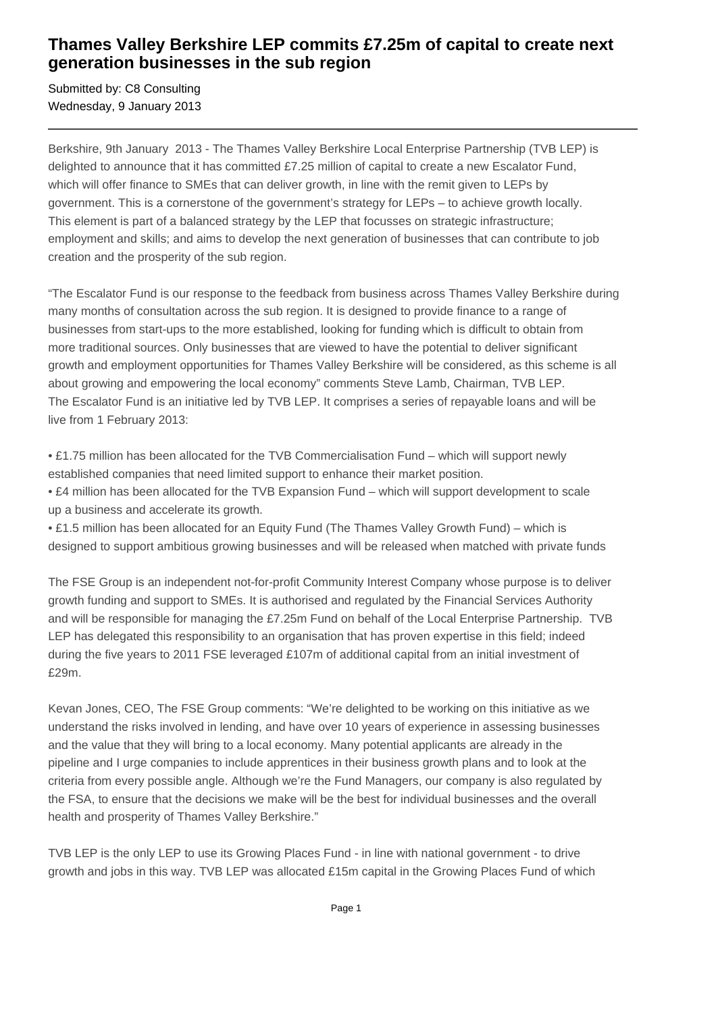## **Thames Valley Berkshire LEP commits £7.25m of capital to create next generation businesses in the sub region**

Submitted by: C8 Consulting Wednesday, 9 January 2013

Berkshire, 9th January 2013 - The Thames Valley Berkshire Local Enterprise Partnership (TVB LEP) is delighted to announce that it has committed £7.25 million of capital to create a new Escalator Fund, which will offer finance to SMEs that can deliver growth, in line with the remit given to LEPs by government. This is a cornerstone of the government's strategy for LEPs – to achieve growth locally. This element is part of a balanced strategy by the LEP that focusses on strategic infrastructure; employment and skills; and aims to develop the next generation of businesses that can contribute to job creation and the prosperity of the sub region.

"The Escalator Fund is our response to the feedback from business across Thames Valley Berkshire during many months of consultation across the sub region. It is designed to provide finance to a range of businesses from start-ups to the more established, looking for funding which is difficult to obtain from more traditional sources. Only businesses that are viewed to have the potential to deliver significant growth and employment opportunities for Thames Valley Berkshire will be considered, as this scheme is all about growing and empowering the local economy" comments Steve Lamb, Chairman, TVB LEP. The Escalator Fund is an initiative led by TVB LEP. It comprises a series of repayable loans and will be live from 1 February 2013:

• £1.75 million has been allocated for the TVB Commercialisation Fund – which will support newly established companies that need limited support to enhance their market position.

• £4 million has been allocated for the TVB Expansion Fund – which will support development to scale up a business and accelerate its growth.

• £1.5 million has been allocated for an Equity Fund (The Thames Valley Growth Fund) – which is designed to support ambitious growing businesses and will be released when matched with private funds

The FSE Group is an independent not-for-profit Community Interest Company whose purpose is to deliver growth funding and support to SMEs. It is authorised and regulated by the Financial Services Authority and will be responsible for managing the £7.25m Fund on behalf of the Local Enterprise Partnership. TVB LEP has delegated this responsibility to an organisation that has proven expertise in this field; indeed during the five years to 2011 FSE leveraged £107m of additional capital from an initial investment of £29m.

Kevan Jones, CEO, The FSE Group comments: "We're delighted to be working on this initiative as we understand the risks involved in lending, and have over 10 years of experience in assessing businesses and the value that they will bring to a local economy. Many potential applicants are already in the pipeline and I urge companies to include apprentices in their business growth plans and to look at the criteria from every possible angle. Although we're the Fund Managers, our company is also regulated by the FSA, to ensure that the decisions we make will be the best for individual businesses and the overall health and prosperity of Thames Valley Berkshire."

TVB LEP is the only LEP to use its Growing Places Fund - in line with national government - to drive growth and jobs in this way. TVB LEP was allocated £15m capital in the Growing Places Fund of which